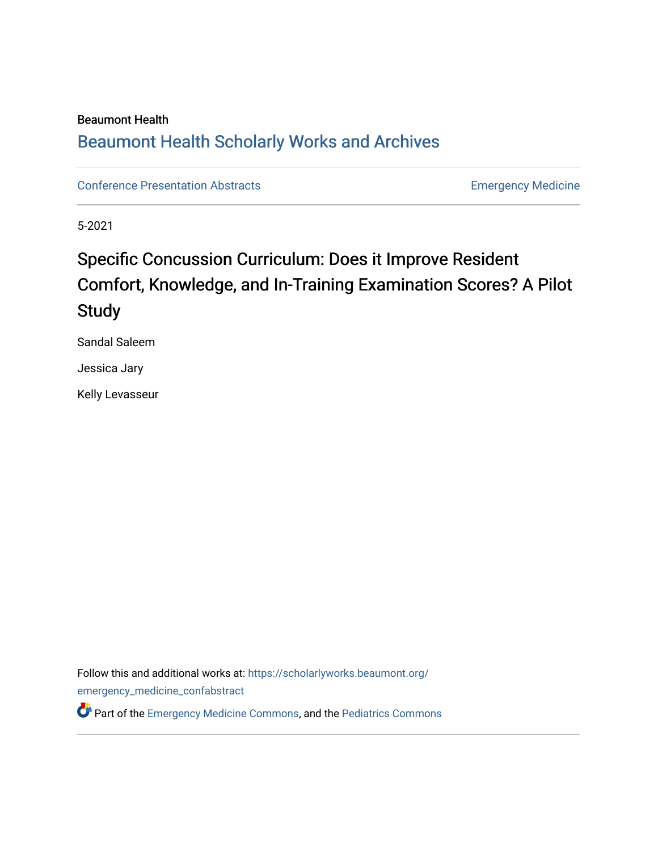## Beaumont Health [Beaumont Health Scholarly Works and Archives](https://scholarlyworks.beaumont.org/)

[Conference Presentation Abstracts](https://scholarlyworks.beaumont.org/emergency_medicine_confabstract) **Emergency Medicine** 

5-2021

## Specific Concussion Curriculum: Does it Improve Resident Comfort, Knowledge, and In-Training Examination Scores? A Pilot **Study**

Sandal Saleem

Jessica Jary

Kelly Levasseur

Follow this and additional works at: [https://scholarlyworks.beaumont.org/](https://scholarlyworks.beaumont.org/emergency_medicine_confabstract?utm_source=scholarlyworks.beaumont.org%2Femergency_medicine_confabstract%2F44&utm_medium=PDF&utm_campaign=PDFCoverPages) [emergency\\_medicine\\_confabstract](https://scholarlyworks.beaumont.org/emergency_medicine_confabstract?utm_source=scholarlyworks.beaumont.org%2Femergency_medicine_confabstract%2F44&utm_medium=PDF&utm_campaign=PDFCoverPages)

**C**<sup> $\bullet$ </sup> Part of the [Emergency Medicine Commons](https://network.bepress.com/hgg/discipline/685?utm_source=scholarlyworks.beaumont.org%2Femergency_medicine_confabstract%2F44&utm_medium=PDF&utm_campaign=PDFCoverPages), and the [Pediatrics Commons](https://network.bepress.com/hgg/discipline/700?utm_source=scholarlyworks.beaumont.org%2Femergency_medicine_confabstract%2F44&utm_medium=PDF&utm_campaign=PDFCoverPages)